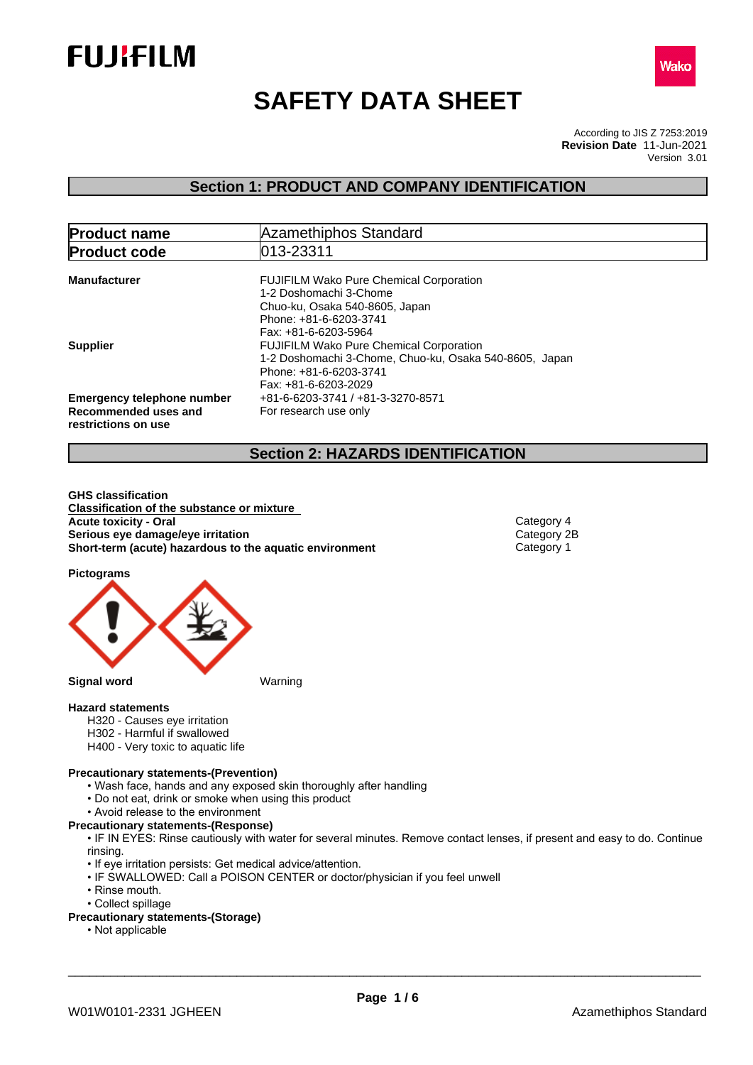



# **SAFETY DATA SHEET**

According to JIS Z 7253:2019 Version 3.01 **Revision Date** 11-Jun-2021

## **Section 1: PRODUCT AND COMPANY IDENTIFICATION**

| <b>Product name</b>                                                              | Azamethiphos Standard                                                                                                                                        |
|----------------------------------------------------------------------------------|--------------------------------------------------------------------------------------------------------------------------------------------------------------|
| <b>Product code</b>                                                              | 013-23311                                                                                                                                                    |
| <b>Manufacturer</b>                                                              | <b>FUJIFILM Wako Pure Chemical Corporation</b><br>1-2 Doshomachi 3-Chome<br>Chuo-ku, Osaka 540-8605, Japan<br>Phone: +81-6-6203-3741<br>Fax: +81-6-6203-5964 |
| <b>Supplier</b>                                                                  | <b>FUJIFILM Wako Pure Chemical Corporation</b><br>1-2 Doshomachi 3-Chome, Chuo-ku, Osaka 540-8605, Japan<br>Phone: +81-6-6203-3741<br>Fax: +81-6-6203-2029   |
| <b>Emergency telephone number</b><br>Recommended uses and<br>restrictions on use | +81-6-6203-3741 / +81-3-3270-8571<br>For research use only                                                                                                   |

## **Section 2: HAZARDS IDENTIFICATION**

**GHS classification Classification of the substance or mixture Acute toxicity - Oral Category 4**<br> **Serious eye damage/eye irritation**<br>
Category 2B **Serious eye damage/eye irritation**<br> **Short-term (acute) hazardous to the aquatic environment** Category 1 **Short-term** (acute) hazardous to the aquatic environment

**Pictograms**



#### **Hazard statements**

- H320 Causes eye irritation
- H302 Harmful if swallowed
- H400 Very toxic to aquatic life

#### **Precautionary statements-(Prevention)**

- Wash face, hands and any exposed skin thoroughly after handling
- Do not eat, drink or smoke when using this product
- Avoid release to the environment

### **Precautionary statements-(Response)**

• IF IN EYES: Rinse cautiously with water for several minutes. Remove contact lenses, if present and easy to do. Continue rinsing.

- If eye irritation persists: Get medical advice/attention.
- IF SWALLOWED: Call a POISON CENTER or doctor/physician if you feel unwell
- Rinse mouth.
- Collect spillage
- **Precautionary statements-(Storage)**
	- Not applicable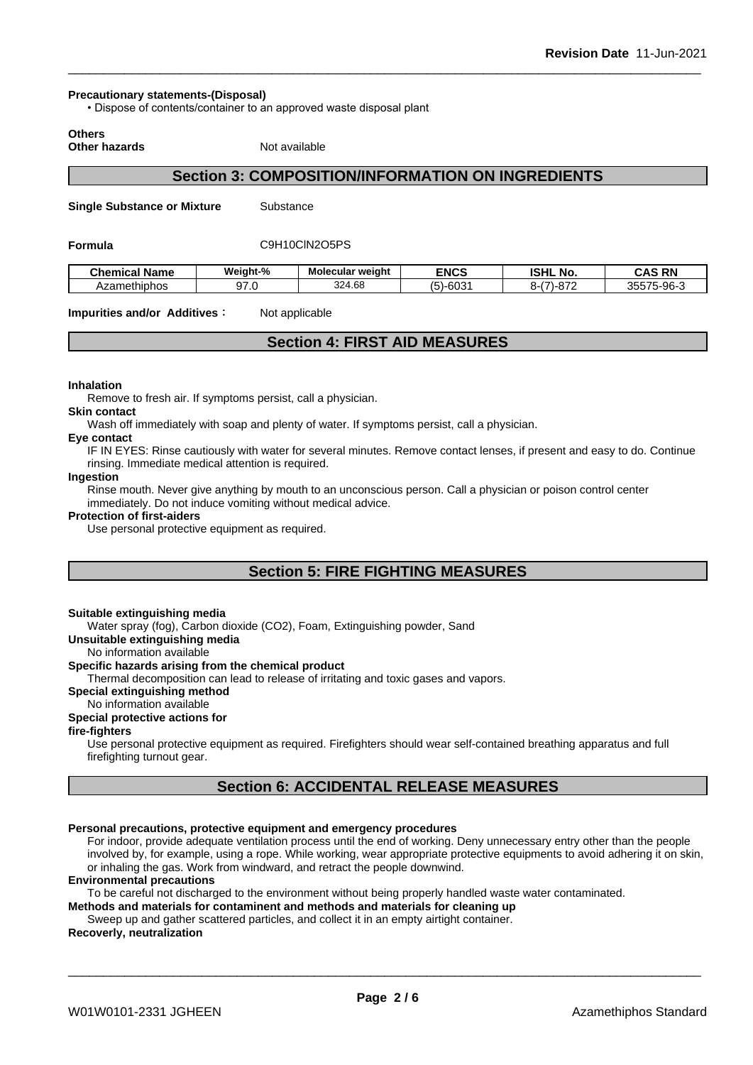#### **Precautionary statements-(Disposal)**

• Dispose of contents/container to an approved waste disposal plant

**Others**

**Other hazards** Not available

## **Section 3: COMPOSITION/INFORMATION ON INGREDIENTS**

**Single Substance or Mixture** Substance

#### **Formula** C9H10ClN2O5PS

| - -<br>Chemical<br>Name | Weiaht-%   | . .<br>Molecular weight | <b>ENCS</b>                      | <b>ISHL No.</b> | <b>CAS RN</b><br>∼                   |
|-------------------------|------------|-------------------------|----------------------------------|-----------------|--------------------------------------|
| Azamethiphos            | $\sim$ $-$ | 324.68                  | $\sim$<br>$\epsilon$<br>∴ טטיירי | 07'<br>- -      | 35575.<br>$\sim$ 96-1<br>7U<br>,,,,, |

**Impurities and/or Additives** : Not applicable

## **Section 4: FIRST AID MEASURES**

#### **Inhalation**

Remove to fresh air. If symptoms persist, call a physician.

#### **Skin contact**

Wash off immediately with soap and plenty of water. If symptoms persist, calla physician.

## **Eye contact**

IF IN EYES: Rinse cautiously with water for several minutes. Remove contact lenses, if present and easy to do. Continue rinsing. Immediate medical attention is required.

#### **Ingestion**

Rinse mouth. Never give anything by mouth to an unconscious person. Call a physician or poison control center immediately. Do not induce vomiting without medical advice.

#### **Protection of first-aiders**

Use personal protective equipment as required.

## **Section 5: FIRE FIGHTING MEASURES**

#### **Suitable extinguishing media**

Water spray (fog), Carbon dioxide (CO2), Foam, Extinguishing powder. Sand

**Unsuitable extinguishing media**

#### No information available

#### **Specific hazards arising from the chemical product**

Thermal decomposition can lead to release of irritating and toxic gases and vapors.

#### **Special extinguishing method**

#### No information available

## **Special protective actions for**

#### **fire-fighters**

Use personal protective equipment as required. Firefighters should wear self-contained breathing apparatus and full firefighting turnout gear.

## **Section 6: ACCIDENTAL RELEASE MEASURES**

#### **Personal precautions, protective equipment and emergency procedures**

For indoor, provide adequate ventilation process until the end of working. Deny unnecessary entry other than the people involved by, for example, using a rope. While working, wear appropriate protective equipments to avoid adhering it on skin, or inhaling the gas. Work from windward, and retract the people downwind.

#### **Environmental precautions**

To be careful not discharged to the environment without being properly handled waste water contaminated.

**Methods and materials for contaminent and methods and materials for cleaning up**

Sweep up and gather scattered particles, and collect it in an empty airtight container.

### **Recoverly, neutralization**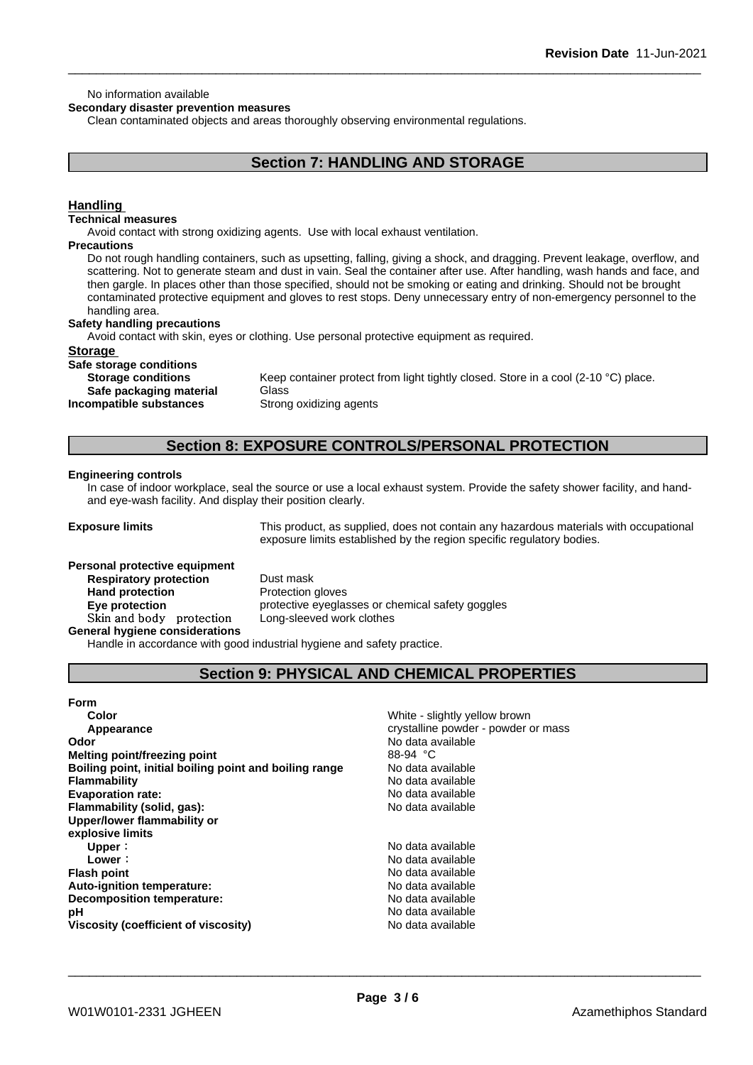#### No information available

**Secondary disaster prevention measures**

Clean contaminated objects and areas thoroughly observing environmental regulations.

## **Section 7: HANDLING AND STORAGE**

#### **Handling**

#### **Technical measures**

Avoid contact with strong oxidizing agents. Use with local exhaust ventilation.

#### **Precautions**

Do not rough handling containers, such as upsetting, falling, giving a shock, and dragging. Prevent leakage, overflow, and scattering. Not to generate steam and dust in vain. Seal the container after use. After handling, wash hands and face, and then gargle. In places other than those specified, should not be smoking or eating and drinking. Should not be brought contaminated protective equipment and gloves to rest stops. Deny unnecessary entry of non-emergency personnel to the handling area.

#### **Safety handling precautions**

Avoid contact with skin, eyes or clothing. Use personal protective equipment as required.

#### **Storage**

**Safe storage conditions Safe packaging material** Glass **Incompatible substances** Strong oxidizing agents

**Storage conditions** Keep container protect from light tightly closed. Store in a cool (2-10 °C) place.

## **Section 8: EXPOSURE CONTROLS/PERSONAL PROTECTION**

#### **Engineering controls**

In case of indoor workplace, seal the source or use a local exhaust system. Provide the safety shower facility, and handand eye-wash facility. And display their position clearly.

**Exposure limits** This product, as supplied, does not contain any hazardous materials with occupational exposure limits established by the region specific regulatory bodies.

## **Personal protective equipment**<br>**Respiratory protection** Dust mask **Respiratory** protection **Hand protection** Protection gloves **Skinandbody protection** Long-sleeved work clothes **General hygiene considerations**

**Eye protection Eye protective** eyeglasses or chemical safety goggles

Handle in accordance with good industrial hygiene and safety practice.

## **Section 9: PHYSICAL AND CHEMICAL PROPERTIES**

#### **Form**

| Color                                                  | White - slightly yellow brown       |
|--------------------------------------------------------|-------------------------------------|
| Appearance                                             | crystalline powder - powder or mass |
| Odor                                                   | No data available                   |
| Melting point/freezing point                           | 88-94 °C                            |
| Boiling point, initial boiling point and boiling range | No data available                   |
| <b>Flammability</b>                                    | No data available                   |
| <b>Evaporation rate:</b>                               | No data available                   |
| Flammability (solid, gas):                             | No data available                   |
| Upper/lower flammability or                            |                                     |
| explosive limits                                       |                                     |
| Upper:                                                 | No data available                   |
| Lower:                                                 | No data available                   |
| <b>Flash point</b>                                     | No data available                   |
| Auto-ignition temperature:                             | No data available                   |
| Decomposition temperature:                             | No data available                   |
| рH                                                     | No data available                   |
| Viscosity (coefficient of viscosity)                   | No data available                   |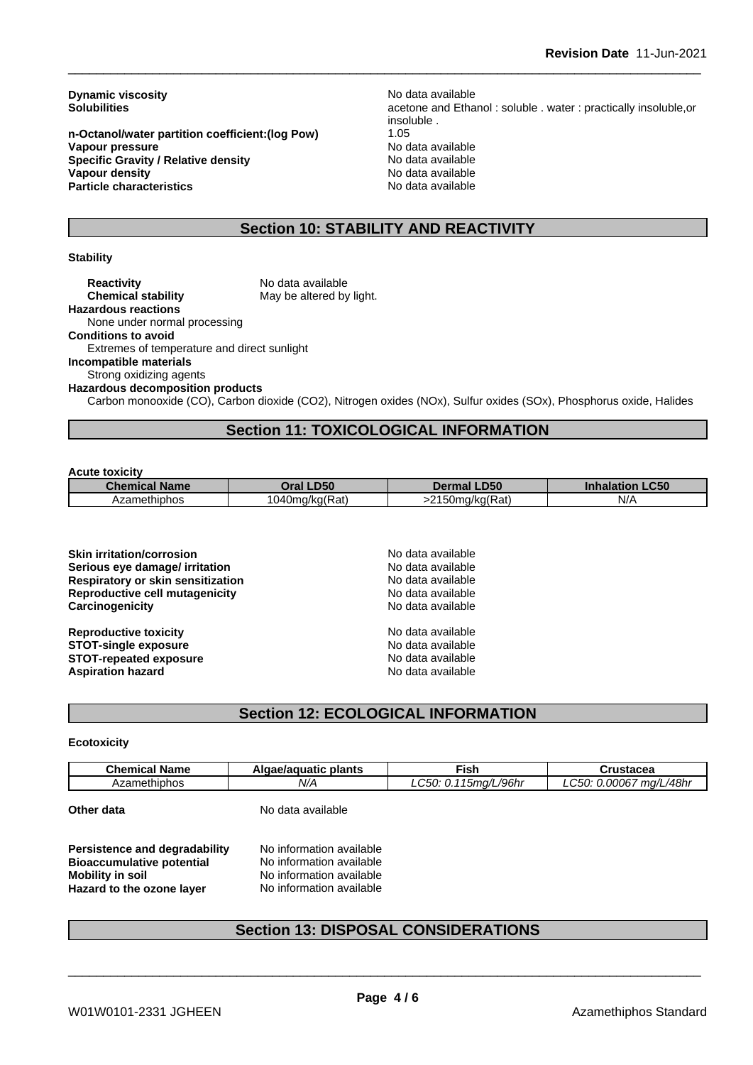**Dynamic viscosity**<br> **Solubilities**<br> **Solubilities**<br> **Solubilities** 

**n-Octanol/water partition coefficient:(log Pow)** 1.05 **Vapour pressure**<br> **Specific Gravity / Relative density**<br>
Specific Gravity / Relative density<br>  $\frac{1}{2}$  Mo data available **Specific Gravity / Relative density Vapour density**<br> **Particle characteristics**<br> **Particle characteristics**<br> **No data available Particle characteristics** 

acetone and Ethanol : soluble . water : practically insoluble,or insoluble .

## **Section 10: STABILITY AND REACTIVITY**

#### **Stability**

**Reactivity** No data available<br> **Chemical stability** May be altered by May be altered by light. **Hazardous reactions** None under normal processing **Conditions to avoid** Extremes of temperature and direct sunlight **Incompatible materials** Strong oxidizing agents **Hazardous decomposition products** Carbon monooxide (CO), Carbon dioxide (CO2), Nitrogen oxides (NOx), Sulfur oxides (SOx), Phosphorus oxide, Halides

## **Section 11: TOXICOLOGICAL INFORMATION**

#### **Acute toxicity**

| <b>Chemical Name</b> | <b>D50</b>     | <b>LD50</b>           | <b>_C50</b> |
|----------------------|----------------|-----------------------|-------------|
|                      | )ral           | Dermal                | Inhalation  |
| Azamethiphos         | 1040mg/kg(Rat) | 2150mg/kg(Rat)<br>. . | N/f         |

**Skin irritation/corrosion** No data available **Serious eye damage/ irritation No data available Respiratory or skin sensitization** No data available **Reproductive cell mutagenicity**<br> **Carcinogenicity**<br>
Carcinogenicity<br>
No data available **Carcinogenicity** 

**Reproductive toxicity No data available STOT-single exposure**<br> **STOT-repeated exposure**<br> **STOT-repeated exposure**<br> **No data available STOT-repeated exposure**<br> **Aspiration hazard**<br> **Aspiration hazard**<br> **Aspiration hazard Aspiration hazard** 

## **Section 12: ECOLOGICAL INFORMATION**

#### **Ecotoxicity**

| Chemical<br><b>Name</b> | plants<br>lgae/aguatic<br>aldat | ™ish                                               | Crustacea          |
|-------------------------|---------------------------------|----------------------------------------------------|--------------------|
| Azamethiphos            | N/A                             | /L/96hr<br>∩⊏∩<br>$\overline{a}$<br>15ma/l<br>-71. | ma/L/48hr<br>00067 |

**Other data** No data available

**Persistence and degradability** No information available **Bioaccumulative potential** No information available **Mobility** in soil No information available **Hazard to the ozone layer** No information available

## **Section 13: DISPOSAL CONSIDERATIONS**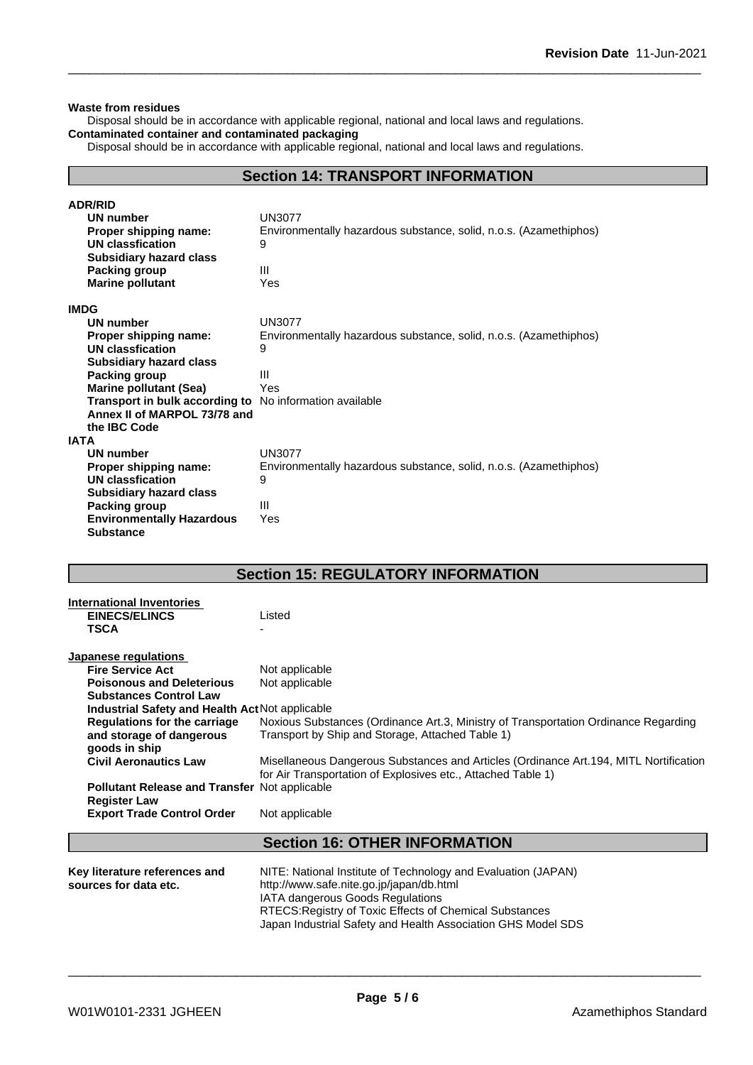#### **Waste from residues**

Disposal should be in accordance with applicable regional, national and local laws and regulations. **Contaminated container and contaminated packaging**

Disposal should be in accordance with applicable regional, national and local laws and regulations.

## **Section 14: TRANSPORT INFORMATION**

| <b>ADR/RID</b>                   |                                                                   |
|----------------------------------|-------------------------------------------------------------------|
| UN number                        | <b>UN3077</b>                                                     |
| Proper shipping name:            | Environmentally hazardous substance, solid, n.o.s. (Azamethiphos) |
| <b>UN classfication</b>          | 9                                                                 |
| <b>Subsidiary hazard class</b>   |                                                                   |
| Packing group                    | $\mathbf{III}$                                                    |
| <b>Marine pollutant</b>          | Yes                                                               |
| <b>IMDG</b>                      |                                                                   |
| UN number                        | <b>UN3077</b>                                                     |
| Proper shipping name:            | Environmentally hazardous substance, solid, n.o.s. (Azamethiphos) |
| <b>UN classfication</b>          | 9                                                                 |
| <b>Subsidiary hazard class</b>   |                                                                   |
| Packing group                    | $\mathbf{III}$                                                    |
| <b>Marine pollutant (Sea)</b>    | Yes                                                               |
| Transport in bulk according to   | No information available                                          |
| Annex II of MARPOL 73/78 and     |                                                                   |
| the IBC Code                     |                                                                   |
| IATA                             |                                                                   |
| <b>UN number</b>                 | <b>UN3077</b>                                                     |
| Proper shipping name:            | Environmentally hazardous substance, solid, n.o.s. (Azamethiphos) |
| <b>UN classfication</b>          | 9                                                                 |
| <b>Subsidiary hazard class</b>   |                                                                   |
| Packing group                    | $\mathbf{III}$                                                    |
| <b>Environmentally Hazardous</b> | Yes                                                               |
| <b>Substance</b>                 |                                                                   |

## **Section 15: REGULATORY INFORMATION**

| <b>International Inventories</b><br><b>EINECS/ELINCS</b><br><b>TSCA</b> | Listed                                                                                                                                                 |
|-------------------------------------------------------------------------|--------------------------------------------------------------------------------------------------------------------------------------------------------|
| Japanese regulations                                                    |                                                                                                                                                        |
| <b>Fire Service Act</b>                                                 | Not applicable                                                                                                                                         |
| <b>Poisonous and Deleterious</b>                                        | Not applicable                                                                                                                                         |
| <b>Substances Control Law</b>                                           |                                                                                                                                                        |
| Industrial Safety and Health Act Not applicable                         |                                                                                                                                                        |
| <b>Regulations for the carriage</b>                                     | Noxious Substances (Ordinance Art.3, Ministry of Transportation Ordinance Regarding                                                                    |
| and storage of dangerous                                                | Transport by Ship and Storage, Attached Table 1)                                                                                                       |
| goods in ship                                                           |                                                                                                                                                        |
| <b>Civil Aeronautics Law</b>                                            | Misellaneous Dangerous Substances and Articles (Ordinance Art. 194, MITL Nortification<br>for Air Transportation of Explosives etc., Attached Table 1) |
| <b>Pollutant Release and Transfer Not applicable</b>                    |                                                                                                                                                        |
| <b>Register Law</b>                                                     |                                                                                                                                                        |
| <b>Export Trade Control Order</b>                                       | Not applicable                                                                                                                                         |
|                                                                         | <b>Section 16: OTHER INFORMATION</b>                                                                                                                   |